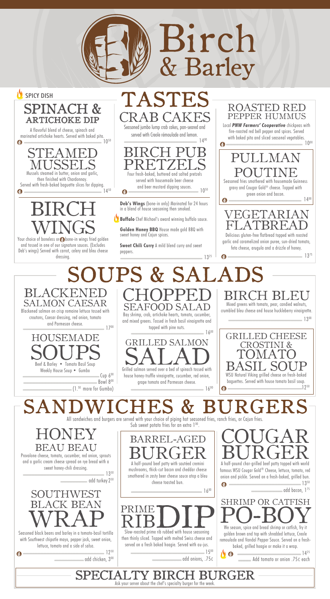## BIRCH WINGS

Your choice of boneless or **B**obone-in wings fried golden and tossed in one of our signature sauces. (Excludes Deb's wings) Served with carrot, celery and bleu cheese dressing.

> HONEY COUGAR Sub sweet potato fries for an extra  $1<sup>00</sup>$ .

Mixed greens with tomato, pear, candied walnuts,

BEAU BEAU Provolone cheese, tomato, cucumber, red onion, sprouts and a garlic cream cheese spread on rye bread with a sweet honey-chili dressing.

Bowl 800 (1.50 more for Gumbo)

> BARREL-AGE BURGER A half-pound beef patty with sautéed cremini mushrooms, thick-cut bacon and cheddar cheese

STEAMED MUSSELS Mussels steamed in butter, onion and garlic, then finished with Chardonnay. Served with fresh-baked baguette slices for dipping.<br> $\bullet$  14<sup>50</sup>



SALMON CAESAR Blackened salmon on crisp romaine lettuce tossed with croutons, Caesar dressing, red onion, tomato and Parmesan cheese.<br>1700



house honey-truffle vinaigrette, cucumber, red onion, grape tomato and Parmesan cheese.  $-16^{00}$ 

Bay shrimp, crab, artichoke hearts, tomato, cucumber, and mixed greens. Tossed in fresh basil vinaigrette and topped with pine nuts.  $-16^{00}$ 

Seasoned jumbo lump crab cakes, pan-seared and served with Creole rémoulade and lemon.

 $-14^{00}$ BIRCH PUB PRETZELS Four fresh-baked, buttered and salted pretzels served with housemade beer cheese and beer mustard dipping sauces. 10<sup>50</sup>  $\mathbf \Omega$ 

----------------------------------------------------------------------------------- 1450

 $\mathbf \Omega$ 

### All sandwiches and burgers are served with your choice of piping hot seasoned fries, ranch fries, or Cajun fries. SANDWICHES & BURGERS

A flavorful blend of cheese, spinach and marinated artichoke hearts. Served with baked pita.  $-10^{50}$  $\mathbf \Omega$ 



1 BI

## **B CAK** TASTES



SEAFOOD SALAD



#### **JPS & SALAI** BLACKEN CHOPPED  $-13^{25}$

A half-pound char-grilled beef patty topped with world BURGER famous WSU Cougar Gold® Cheese, lettuce, tomato, red





**Deb's Wings** (bone-in only) Marinated for 24 hours in a blend of house seasoning then smoked.

**Buffalo** Chef Michael's award winning buffalo sauce.

**Golden Honey BBQ** House made gold BBQ with sweet honey and Cajun spices.

**Sweet Chili Curry** A mild blend curry and sweet peppers.